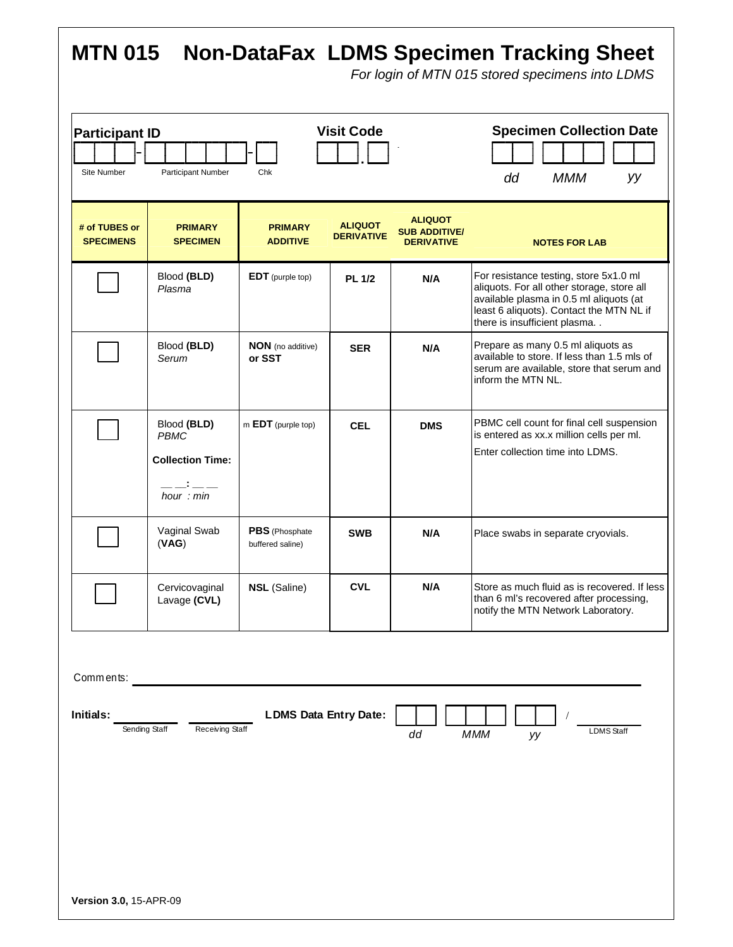| <b>MTN 015</b><br><b>Non-DataFax LDMS Specimen Tracking Sheet</b><br>For login of MTN 015 stored specimens into LDMS                      |                                                                       |                                    |                                     |                                                             |                                                                                                                                                                                                                |
|-------------------------------------------------------------------------------------------------------------------------------------------|-----------------------------------------------------------------------|------------------------------------|-------------------------------------|-------------------------------------------------------------|----------------------------------------------------------------------------------------------------------------------------------------------------------------------------------------------------------------|
| <b>Visit Code</b><br><b>Participant ID</b><br>Site Number<br><b>Participant Number</b><br>Chk                                             |                                                                       |                                    |                                     |                                                             | <b>Specimen Collection Date</b><br>dd<br><b>MMM</b><br>уу                                                                                                                                                      |
| # of TUBES or<br><b>SPECIMENS</b>                                                                                                         | <b>PRIMARY</b><br><b>SPECIMEN</b>                                     | <b>PRIMARY</b><br><b>ADDITIVE</b>  | <b>ALIQUOT</b><br><b>DERIVATIVE</b> | <b>ALIQUOT</b><br><b>SUB ADDITIVE/</b><br><b>DERIVATIVE</b> | <b>NOTES FOR LAB</b>                                                                                                                                                                                           |
|                                                                                                                                           | Blood (BLD)<br>Plasma                                                 | <b>EDT</b> (purple top)            | <b>PL 1/2</b>                       | N/A                                                         | For resistance testing, store 5x1.0 ml<br>aliquots. For all other storage, store all<br>available plasma in 0.5 ml aliquots (at<br>least 6 aliquots). Contact the MTN NL if<br>there is insufficient plasma. . |
|                                                                                                                                           | Blood (BLD)<br>Serum                                                  | <b>NON</b> (no additive)<br>or SST | <b>SER</b>                          | N/A                                                         | Prepare as many 0.5 ml aliquots as<br>available to store. If less than 1.5 mls of<br>serum are available, store that serum and<br>inform the MTN NL.                                                           |
|                                                                                                                                           | Blood (BLD)<br><b>PBMC</b><br><b>Collection Time:</b><br>hour $: min$ | m EDT (purple top)                 | <b>CEL</b>                          | <b>DMS</b>                                                  | PBMC cell count for final cell suspension<br>is entered as xx.x million cells per ml.<br>Enter collection time into LDMS.                                                                                      |
|                                                                                                                                           | Vaginal Swab<br>(VAG)                                                 | PBS (Phosphate<br>buffered saline) | <b>SWB</b>                          | N/A                                                         | Place swabs in separate cryovials.                                                                                                                                                                             |
|                                                                                                                                           | Cervicovaginal<br>Lavage (CVL)                                        | <b>NSL</b> (Saline)                | <b>CVL</b>                          | N/A                                                         | Store as much fluid as is recovered. If less<br>than 6 ml's recovered after processing,<br>notify the MTN Network Laboratory.                                                                                  |
| Comments:<br><b>LDMS Data Entry Date:</b><br>Initials:<br>Receiving Staff<br>Sending Staff<br><b>LDMS</b> Staff<br>dd<br><b>MMM</b><br>уу |                                                                       |                                    |                                     |                                                             |                                                                                                                                                                                                                |
| Version 3.0, 15-APR-09                                                                                                                    |                                                                       |                                    |                                     |                                                             |                                                                                                                                                                                                                |